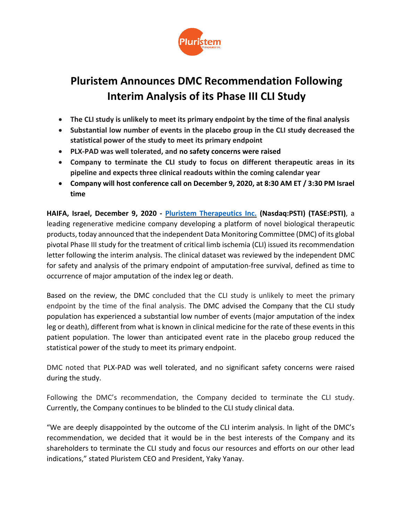

# **Pluristem Announces DMC Recommendation Following Interim Analysis of its Phase III CLI Study**

- **The CLI study is unlikely to meet its primary endpoint by the time of the final analysis**
- **Substantial low number of events in the placebo group in the CLI study decreased the statistical power of the study to meet its primary endpoint**
- **PLX-PAD was well tolerated, and no safety concerns were raised**
- **Company to terminate the CLI study to focus on different therapeutic areas in its pipeline and expects three clinical readouts within the coming calendar year**
- **Company will host conference call on December 9, 2020, at 8:30 AM ET / 3:30 PM Israel time**

**HAIFA, Israel, December 9, 2020 - Pluristem [Therapeutics](https://www.pluristem.com/) Inc. (Nasdaq:PSTI) (TASE:PSTI)**, a leading regenerative medicine company developing a platform of novel biological therapeutic products, today announced that the independent Data Monitoring Committee (DMC) of its global pivotal Phase III study for the treatment of critical limb ischemia (CLI) issued its recommendation letter following the interim analysis. The clinical dataset was reviewed by the independent DMC for safety and analysis of the primary endpoint of amputation-free survival, defined as time to occurrence of major amputation of the index leg or death.

Based on the review, the DMC concluded that the CLI study is unlikely to meet the primary endpoint by the time of the final analysis. The DMC advised the Company that the CLI study population has experienced a substantial low number of events (major amputation of the index leg or death), different from what is known in clinical medicine for the rate of these events in this patient population. The lower than anticipated event rate in the placebo group reduced the statistical power of the study to meet its primary endpoint.

DMC noted that PLX-PAD was well tolerated, and no significant safety concerns were raised during the study.

Following the DMC's recommendation, the Company decided to terminate the CLI study. Currently, the Company continues to be blinded to the CLI study clinical data.

"We are deeply disappointed by the outcome of the CLI interim analysis. In light of the DMC's recommendation, we decided that it would be in the best interests of the Company and its shareholders to terminate the CLI study and focus our resources and efforts on our other lead indications," stated Pluristem CEO and President, Yaky Yanay.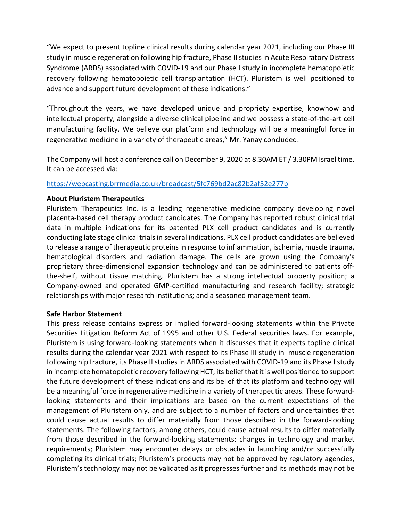"We expect to present topline clinical results during calendar year 2021, including our Phase III study in muscle regeneration following hip fracture, Phase II studiesin Acute Respiratory Distress Syndrome (ARDS) associated with COVID-19 and our Phase I study in incomplete hematopoietic recovery following hematopoietic cell transplantation (HCT). Pluristem is well positioned to advance and support future development of these indications."

"Throughout the years, we have developed unique and propriety expertise, knowhow and intellectual property, alongside a diverse clinical pipeline and we possess a state-of-the-art cell manufacturing facility. We believe our platform and technology will be a meaningful force in regenerative medicine in a variety of therapeutic areas," Mr. Yanay concluded.

The Company will host a conference call on December 9, 2020 at 8.30AM ET / 3.30PM Israel time. It can be accessed via:

## <https://webcasting.brrmedia.co.uk/broadcast/5fc769bd2ac82b2af52e277b>

### **About Pluristem Therapeutics**

Pluristem Therapeutics Inc. is a leading regenerative medicine company developing novel placenta-based cell therapy product candidates. The Company has reported robust clinical trial data in multiple indications for its patented PLX cell product candidates and is currently conducting late stage clinical trials in several indications. PLX cell product candidates are believed to release a range of therapeutic proteinsin response to inflammation, ischemia, muscle trauma, hematological disorders and radiation damage. The cells are grown using the Company's proprietary three-dimensional expansion technology and can be administered to patients offthe-shelf, without tissue matching. Pluristem has a strong intellectual property position; a Company-owned and operated GMP-certified manufacturing and research facility; strategic relationships with major research institutions; and a seasoned management team.

### **Safe Harbor Statement**

This press release contains express or implied forward-looking statements within the Private Securities Litigation Reform Act of 1995 and other U.S. Federal securities laws. For example, Pluristem is using forward-looking statements when it discusses that it expects topline clinical results during the calendar year 2021 with respect to its Phase III study in muscle regeneration following hip fracture, its Phase II studies in ARDS associated with COVID-19 and its Phase I study in incomplete hematopoietic recovery following HCT, its belief that it is well positioned to support the future development of these indications and its belief that its platform and technology will be a meaningful force in regenerative medicine in a variety of therapeutic areas. These forwardlooking statements and their implications are based on the current expectations of the management of Pluristem only, and are subject to a number of factors and uncertainties that could cause actual results to differ materially from those described in the forward-looking statements. The following factors, among others, could cause actual results to differ materially from those described in the forward-looking statements: changes in technology and market requirements; Pluristem may encounter delays or obstacles in launching and/or successfully completing its clinical trials; Pluristem's products may not be approved by regulatory agencies, Pluristem's technology may not be validated as it progresses further and its methods may not be